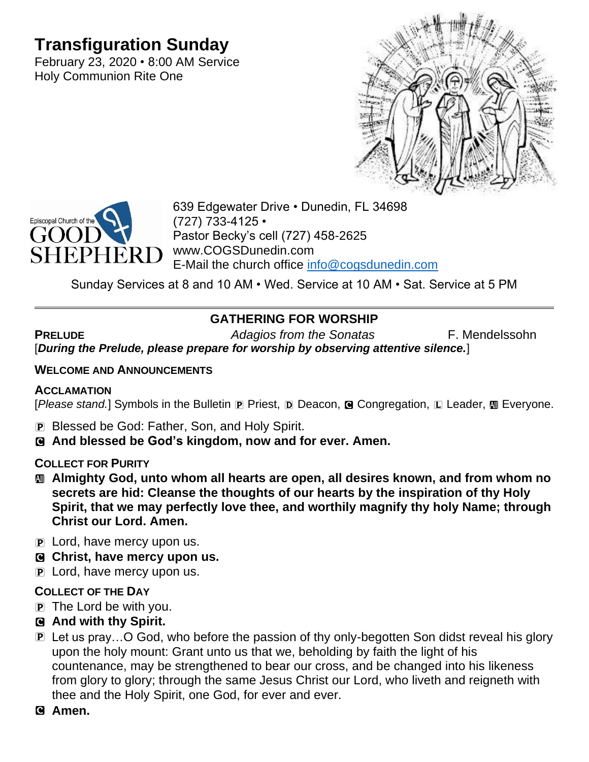# **Transfiguration Sunday**

February 23, 2020 • 8:00 AM Service Holy Communion Rite One





639 Edgewater Drive • Dunedin, FL 34698 (727) 733-4125 • Pastor Becky's cell (727) 458-2625 www.COGSDunedin.com E-Mail the church office [info@cogsdunedin.com](mailto:info@cogsdunedin.com)

Sunday Services at 8 and 10 AM • Wed. Service at 10 AM • Sat. Service at 5 PM

# **GATHERING FOR WORSHIP**

**PRELUDE** *Adagios from the Sonatas* F. Mendelssohn [*During the Prelude, please prepare for worship by observing attentive silence.*]

### **WELCOME AND ANNOUNCEMENTS**

### **ACCLAMATION**

[*Please stand.*] Symbols in the Bulletin **P** Priest, **D** Deacon, **G** Congregation, **L** Leader, **M** Everyone.

- P Blessed be God: Father, Son, and Holy Spirit.
- C **And blessed be God's kingdom, now and for ever. Amen.**

### **COLLECT FOR PURITY**

- a **Almighty God, unto whom all hearts are open, all desires known, and from whom no secrets are hid: Cleanse the thoughts of our hearts by the inspiration of thy Holy Spirit, that we may perfectly love thee, and worthily magnify thy holy Name; through Christ our Lord. Amen.**
- $\overline{P}$  Lord, have mercy upon us.
- C **Christ, have mercy upon us.**
- P Lord, have mercy upon us.

## **COLLECT OF THE DAY**

 $\mathbf{p}$  The Lord be with you.

## C **And with thy Spirit.**

P Let us pray…O God, who before the passion of thy only-begotten Son didst reveal his glory upon the holy mount: Grant unto us that we, beholding by faith the light of his countenance, may be strengthened to bear our cross, and be changed into his likeness from glory to glory; through the same Jesus Christ our Lord, who liveth and reigneth with thee and the Holy Spirit, one God, for ever and ever.

### C **Amen.**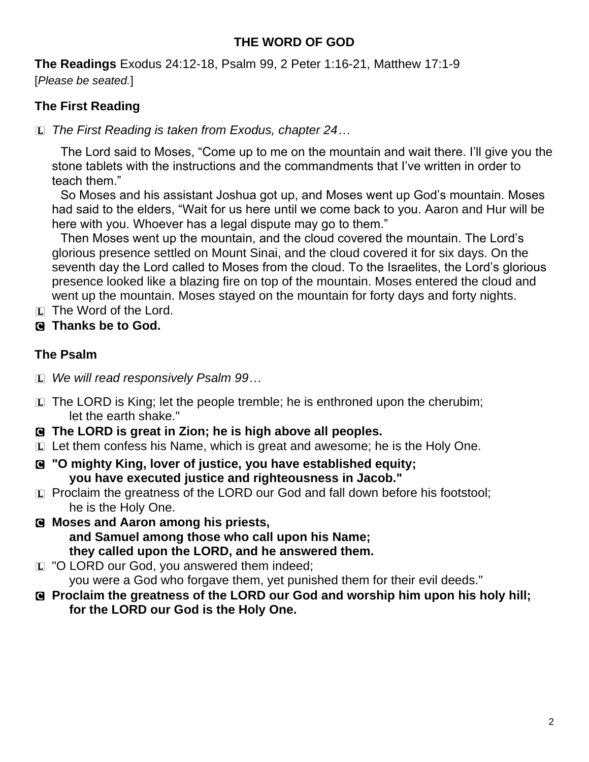## **THE WORD OF GOD**

**The Readings** Exodus 24:12-18, Psalm 99, 2 Peter 1:16-21, Matthew 17:1-9 [*Please be seated.*]

## **The First Reading**

L *The First Reading is taken from Exodus, chapter 24…*

The Lord said to Moses, "Come up to me on the mountain and wait there. I'll give you the stone tablets with the instructions and the commandments that I've written in order to teach them."

So Moses and his assistant Joshua got up, and Moses went up God's mountain. Moses had said to the elders, "Wait for us here until we come back to you. Aaron and Hur will be here with you. Whoever has a legal dispute may go to them."

Then Moses went up the mountain, and the cloud covered the mountain. The Lord's glorious presence settled on Mount Sinai, and the cloud covered it for six days. On the seventh day the Lord called to Moses from the cloud. To the Israelites, the Lord's glorious presence looked like a blazing fire on top of the mountain. Moses entered the cloud and went up the mountain. Moses stayed on the mountain for forty days and forty nights.

- L The Word of the Lord.
- C **Thanks be to God.**

## **The Psalm**

- L *We will read responsively Psalm 99…*
- $\Box$  The LORD is King; let the people tremble; he is enthroned upon the cherubim; let the earth shake."
- C **The LORD is great in Zion; he is high above all peoples.**
- L Let them confess his Name, which is great and awesome; he is the Holy One.
- C **"O mighty King, lover of justice, you have established equity; you have executed justice and righteousness in Jacob."**
- L Proclaim the greatness of the LORD our God and fall down before his footstool; he is the Holy One.
- C **Moses and Aaron among his priests, and Samuel among those who call upon his Name; they called upon the LORD, and he answered them.**
- **L** "O LORD our God, you answered them indeed; you were a God who forgave them, yet punished them for their evil deeds."
- C **Proclaim the greatness of the LORD our God and worship him upon his holy hill; for the LORD our God is the Holy One.**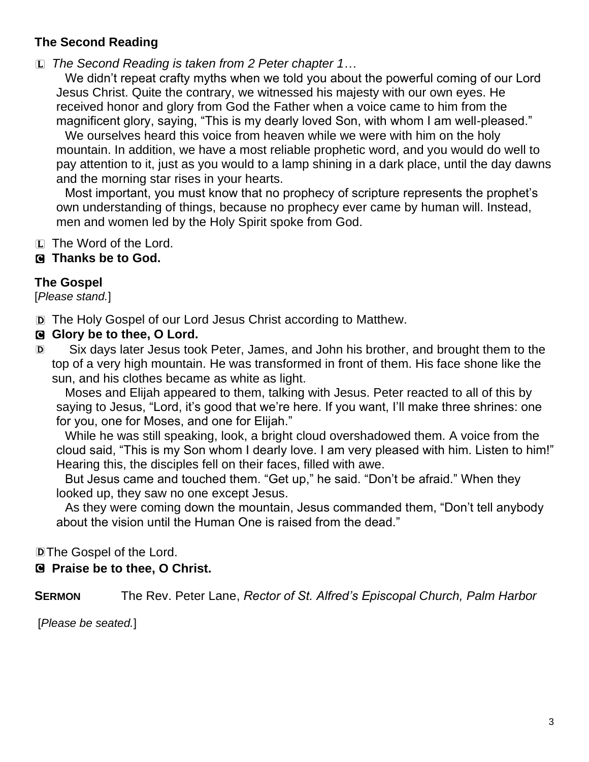# **The Second Reading**

L *The Second Reading is taken from 2 Peter chapter 1…*

We didn't repeat crafty myths when we told you about the powerful coming of our Lord Jesus Christ. Quite the contrary, we witnessed his majesty with our own eyes. He received honor and glory from God the Father when a voice came to him from the magnificent glory, saying, "This is my dearly loved Son, with whom I am well-pleased."

We ourselves heard this voice from heaven while we were with him on the holy mountain. In addition, we have a most reliable prophetic word, and you would do well to pay attention to it, just as you would to a lamp shining in a dark place, until the day dawns and the morning star rises in your hearts.

Most important, you must know that no prophecy of scripture represents the prophet's own understanding of things, because no prophecy ever came by human will. Instead, men and women led by the Holy Spirit spoke from God.

 $[L]$  The Word of the Lord.

## C **Thanks be to God.**

## **The Gospel**

[*Please stand.*]

D The Holy Gospel of our Lord Jesus Christ according to Matthew.

## G Glory be to thee, O Lord.

D Six days later Jesus took Peter, James, and John his brother, and brought them to the top of a very high mountain. He was transformed in front of them. His face shone like the sun, and his clothes became as white as light.

Moses and Elijah appeared to them, talking with Jesus. Peter reacted to all of this by saying to Jesus, "Lord, it's good that we're here. If you want, I'll make three shrines: one for you, one for Moses, and one for Elijah."

While he was still speaking, look, a bright cloud overshadowed them. A voice from the cloud said, "This is my Son whom I dearly love. I am very pleased with him. Listen to him!" Hearing this, the disciples fell on their faces, filled with awe.

But Jesus came and touched them. "Get up," he said. "Don't be afraid." When they looked up, they saw no one except Jesus.

As they were coming down the mountain, Jesus commanded them, "Don't tell anybody about the vision until the Human One is raised from the dead."

DThe Gospel of the Lord.

## C **Praise be to thee, O Christ.**

**SERMON** The Rev. Peter Lane, *Rector of St. Alfred's Episcopal Church, Palm Harbor*

[*Please be seated.*]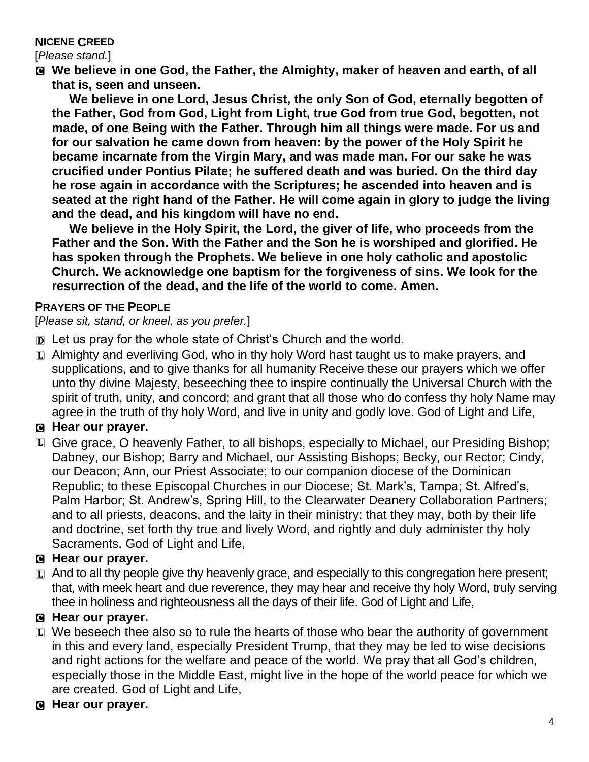### **NICENE CREED**

[*Please stand.*]

C **We believe in one God, the Father, the Almighty, maker of heaven and earth, of all that is, seen and unseen.** 

**We believe in one Lord, Jesus Christ, the only Son of God, eternally begotten of the Father, God from God, Light from Light, true God from true God, begotten, not made, of one Being with the Father. Through him all things were made. For us and for our salvation he came down from heaven: by the power of the Holy Spirit he became incarnate from the Virgin Mary, and was made man. For our sake he was crucified under Pontius Pilate; he suffered death and was buried. On the third day he rose again in accordance with the Scriptures; he ascended into heaven and is seated at the right hand of the Father. He will come again in glory to judge the living and the dead, and his kingdom will have no end.**

**We believe in the Holy Spirit, the Lord, the giver of life, who proceeds from the Father and the Son. With the Father and the Son he is worshiped and glorified. He has spoken through the Prophets. We believe in one holy catholic and apostolic Church. We acknowledge one baptism for the forgiveness of sins. We look for the resurrection of the dead, and the life of the world to come. Amen.**

#### **PRAYERS OF THE PEOPLE**

[*Please sit, stand, or kneel, as you prefer.*]

- D Let us pray for the whole state of Christ's Church and the world.
- $\Box$  Almighty and everliving God, who in thy holy Word hast taught us to make prayers, and supplications, and to give thanks for all humanity Receive these our prayers which we offer unto thy divine Majesty, beseeching thee to inspire continually the Universal Church with the spirit of truth, unity, and concord; and grant that all those who do confess thy holy Name may agree in the truth of thy holy Word, and live in unity and godly love. God of Light and Life,

## C **Hear our prayer.**

L Give grace, O heavenly Father, to all bishops, especially to Michael, our Presiding Bishop; Dabney, our Bishop; Barry and Michael, our Assisting Bishops; Becky, our Rector; Cindy, our Deacon; Ann, our Priest Associate; to our companion diocese of the Dominican Republic; to these Episcopal Churches in our Diocese; St. Mark's, Tampa; St. Alfred's, Palm Harbor; St. Andrew's, Spring Hill, to the Clearwater Deanery Collaboration Partners; and to all priests, deacons, and the laity in their ministry; that they may, both by their life and doctrine, set forth thy true and lively Word, and rightly and duly administer thy holy Sacraments. God of Light and Life,

### C **Hear our prayer.**

 $\Box$  And to all thy people give thy heavenly grace, and especially to this congregation here present; that, with meek heart and due reverence, they may hear and receive thy holy Word, truly serving thee in holiness and righteousness all the days of their life. God of Light and Life,

### C **Hear our prayer.**

- $E$  We beseech thee also so to rule the hearts of those who bear the authority of government in this and every land, especially President Trump, that they may be led to wise decisions and right actions for the welfare and peace of the world. We pray that all God's children, especially those in the Middle East, might live in the hope of the world peace for which we are created. God of Light and Life,
- C **Hear our prayer.**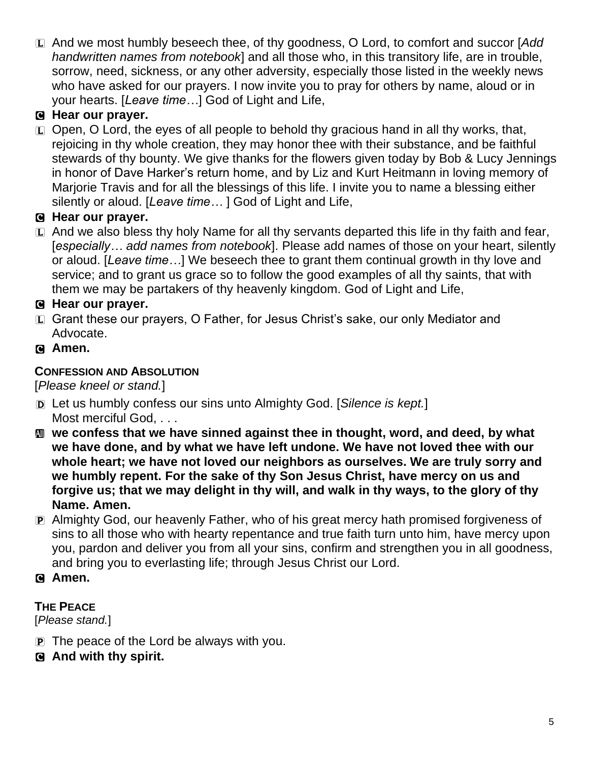L And we most humbly beseech thee, of thy goodness, O Lord, to comfort and succor [*Add handwritten names from notebook*] and all those who, in this transitory life, are in trouble, sorrow, need, sickness, or any other adversity, especially those listed in the weekly news who have asked for our prayers. I now invite you to pray for others by name, aloud or in your hearts. [*Leave time…*] God of Light and Life,

# C **Hear our prayer.**

 $E$  Open, O Lord, the eyes of all people to behold thy gracious hand in all thy works, that, rejoicing in thy whole creation, they may honor thee with their substance, and be faithful stewards of thy bounty. We give thanks for the flowers given today by Bob & Lucy Jennings in honor of Dave Harker's return home, and by Liz and Kurt Heitmann in loving memory of Marjorie Travis and for all the blessings of this life. I invite you to name a blessing either silently or aloud. [*Leave time…* ] God of Light and Life,

# C **Hear our prayer.**

L And we also bless thy holy Name for all thy servants departed this life in thy faith and fear, [*especially… add names from notebook*]. Please add names of those on your heart, silently or aloud. [*Leave time…*] We beseech thee to grant them continual growth in thy love and service; and to grant us grace so to follow the good examples of all thy saints, that with them we may be partakers of thy heavenly kingdom. God of Light and Life,

# C **Hear our prayer.**

- L Grant these our prayers, O Father, for Jesus Christ's sake, our only Mediator and Advocate.
- C **Amen.**

## **CONFESSION AND ABSOLUTION**

[*Please kneel or stand.*]

- D Let us humbly confess our sins unto Almighty God. [*Silence is kept.*] Most merciful God, . . .
- $\bf{M}$  we confess that we have sinned against thee in thought, word, and deed, by what **we have done, and by what we have left undone. We have not loved thee with our whole heart; we have not loved our neighbors as ourselves. We are truly sorry and we humbly repent. For the sake of thy Son Jesus Christ, have mercy on us and forgive us; that we may delight in thy will, and walk in thy ways, to the glory of thy Name. Amen.**
- P Almighty God, our heavenly Father, who of his great mercy hath promised forgiveness of sins to all those who with hearty repentance and true faith turn unto him, have mercy upon you, pardon and deliver you from all your sins, confirm and strengthen you in all goodness, and bring you to everlasting life; through Jesus Christ our Lord.
- C **Amen.**

## **THE PEACE**

[*Please stand.*]

- P The peace of the Lord be always with you.
- C **And with thy spirit.**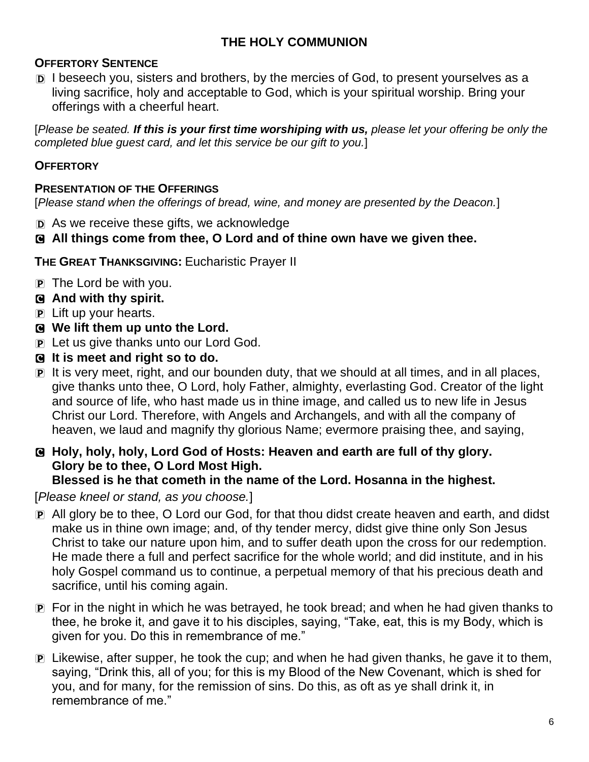## **THE HOLY COMMUNION**

### **OFFERTORY SENTENCE**

D I beseech you, sisters and brothers, by the mercies of God, to present yourselves as a living sacrifice, holy and acceptable to God, which is your spiritual worship. Bring your offerings with a cheerful heart.

[*Please be seated. If this is your first time worshiping with us, please let your offering be only the completed blue guest card, and let this service be our gift to you.*]

#### **OFFERTORY**

#### **PRESENTATION OF THE OFFERINGS**

[*Please stand when the offerings of bread, wine, and money are presented by the Deacon.*]

D As we receive these gifts, we acknowledge

#### C **All things come from thee, O Lord and of thine own have we given thee.**

**THE GREAT THANKSGIVING:** Eucharistic Prayer II

- $\overline{P}$  The Lord be with you.
- C **And with thy spirit.**
- P Lift up your hearts.
- C **We lift them up unto the Lord.**
- P Let us give thanks unto our Lord God.
- C **It is meet and right so to do.**
- P It is very meet, right, and our bounden duty, that we should at all times, and in all places, give thanks unto thee, O Lord, holy Father, almighty, everlasting God. Creator of the light and source of life, who hast made us in thine image, and called us to new life in Jesus Christ our Lord. Therefore, with Angels and Archangels, and with all the company of heaven, we laud and magnify thy glorious Name; evermore praising thee, and saying,
- C **Holy, holy, holy, Lord God of Hosts: Heaven and earth are full of thy glory. Glory be to thee, O Lord Most High.**

#### **Blessed is he that cometh in the name of the Lord. Hosanna in the highest.**

[*Please kneel or stand, as you choose.*]

- P All glory be to thee, O Lord our God, for that thou didst create heaven and earth, and didst make us in thine own image; and, of thy tender mercy, didst give thine only Son Jesus Christ to take our nature upon him, and to suffer death upon the cross for our redemption. He made there a full and perfect sacrifice for the whole world; and did institute, and in his holy Gospel command us to continue, a perpetual memory of that his precious death and sacrifice, until his coming again.
- P For in the night in which he was betrayed, he took bread; and when he had given thanks to thee, he broke it, and gave it to his disciples, saying, "Take, eat, this is my Body, which is given for you. Do this in remembrance of me."
- P Likewise, after supper, he took the cup; and when he had given thanks, he gave it to them, saying, "Drink this, all of you; for this is my Blood of the New Covenant, which is shed for you, and for many, for the remission of sins. Do this, as oft as ye shall drink it, in remembrance of me."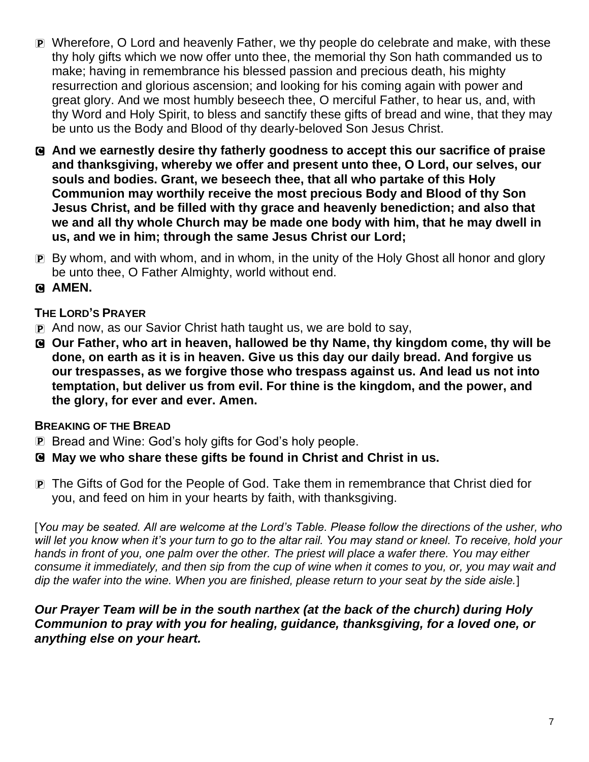- P Wherefore, O Lord and heavenly Father, we thy people do celebrate and make, with these thy holy gifts which we now offer unto thee, the memorial thy Son hath commanded us to make; having in remembrance his blessed passion and precious death, his mighty resurrection and glorious ascension; and looking for his coming again with power and great glory. And we most humbly beseech thee, O merciful Father, to hear us, and, with thy Word and Holy Spirit, to bless and sanctify these gifts of bread and wine, that they may be unto us the Body and Blood of thy dearly-beloved Son Jesus Christ.
- C **And we earnestly desire thy fatherly goodness to accept this our sacrifice of praise and thanksgiving, whereby we offer and present unto thee, O Lord, our selves, our souls and bodies. Grant, we beseech thee, that all who partake of this Holy Communion may worthily receive the most precious Body and Blood of thy Son Jesus Christ, and be filled with thy grace and heavenly benediction; and also that we and all thy whole Church may be made one body with him, that he may dwell in us, and we in him; through the same Jesus Christ our Lord;**
- P By whom, and with whom, and in whom, in the unity of the Holy Ghost all honor and glory be unto thee, O Father Almighty, world without end.
- C **AMEN.**

## **THE LORD'S PRAYER**

- P And now, as our Savior Christ hath taught us, we are bold to say,
- C **Our Father, who art in heaven, hallowed be thy Name, thy kingdom come, thy will be done, on earth as it is in heaven. Give us this day our daily bread. And forgive us our trespasses, as we forgive those who trespass against us. And lead us not into temptation, but deliver us from evil. For thine is the kingdom, and the power, and the glory, for ever and ever. Amen.**

### **BREAKING OF THE BREAD**

- P Bread and Wine: God's holy gifts for God's holy people.
- C **May we who share these gifts be found in Christ and Christ in us.**
- P The Gifts of God for the People of God. Take them in remembrance that Christ died for you, and feed on him in your hearts by faith, with thanksgiving.

[*You may be seated. All are welcome at the Lord's Table. Please follow the directions of the usher, who*  will let you know when it's your turn to go to the altar rail. You may stand or kneel. To receive, hold your hands in front of you, one palm over the other. The priest will place a wafer there. You may either *consume it immediately, and then sip from the cup of wine when it comes to you, or, you may wait and dip the wafer into the wine. When you are finished, please return to your seat by the side aisle.*]

#### *Our Prayer Team will be in the south narthex (at the back of the church) during Holy Communion to pray with you for healing, guidance, thanksgiving, for a loved one, or anything else on your heart.*